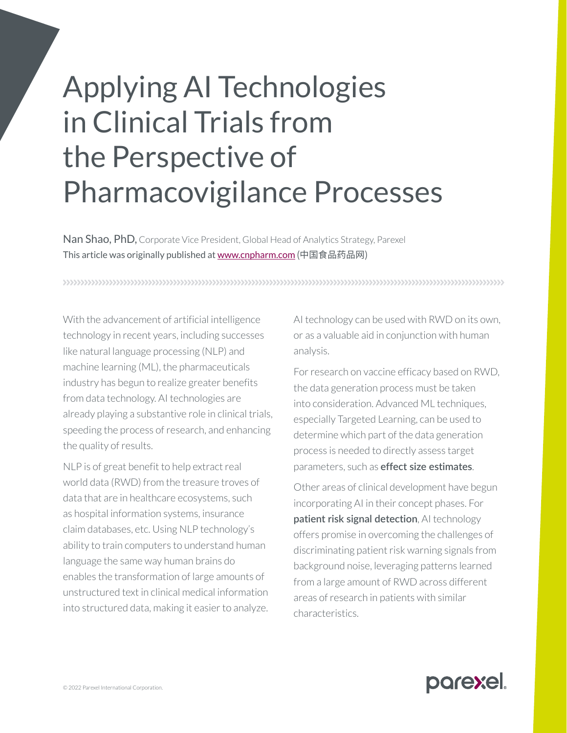## Applying AI Technologies in Clinical Trials from the Perspective of Pharmacovigilance Processes

Nan Shao, PhD, Corporate Vice President, Global Head of Analytics Strategy, Parexel This article was originally published at [www.cnpharm.com](http://www.cnpharm.com/) (中国食品药品网)

With the advancement of artificial intelligence technology in recent years, including successes like natural language processing (NLP) and machine learning (ML), the pharmaceuticals industry has begun to realize greater benefits from data technology. AI technologies are already playing a substantive role in clinical trials, speeding the process of research, and enhancing the quality of results.

NLP is of great benefit to help extract real world data (RWD) from the treasure troves of data that are in healthcare ecosystems, such as hospital information systems, insurance claim databases, etc. Using NLP technology's ability to train computers to understand human language the same way human brains do enables the transformation of large amounts of unstructured text in clinical medical information into structured data, making it easier to analyze.

AI technology can be used with RWD on its own, or as a valuable aid in conjunction with human analysis.

For research on vaccine efficacy based on RWD, the data generation process must be taken into consideration. Advanced ML techniques, especially Targeted Learning, can be used to determine which part of the data generation process is needed to directly assess target parameters, such as **effect size estimates**.

Other areas of clinical development have begun incorporating AI in their concept phases. For **patient risk signal detection**, AI technology offers promise in overcoming the challenges of discriminating patient risk warning signals from background noise, leveraging patterns learned from a large amount of RWD across different areas of research in patients with similar characteristics.

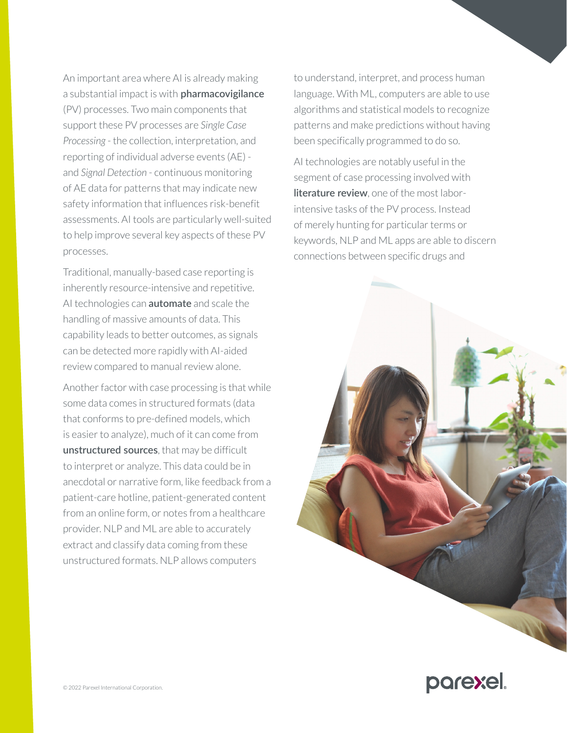An important area where AI is already making a substantial impact is with **pharmacovigilance** (PV) processes. Two main components that support these PV processes are *Single Case Processing* - the collection, interpretation, and reporting of individual adverse events (AE) and *Signal Detection* - continuous monitoring of AE data for patterns that may indicate new safety information that influences risk-benefit assessments. AI tools are particularly well-suited to help improve several key aspects of these PV processes.

Traditional, manually-based case reporting is inherently resource-intensive and repetitive. AI technologies can **automate** and scale the handling of massive amounts of data. This capability leads to better outcomes, as signals can be detected more rapidly with AI-aided review compared to manual review alone.

Another factor with case processing is that while some data comes in structured formats (data that conforms to pre-defined models, which is easier to analyze), much of it can come from **unstructured sources**, that may be difficult to interpret or analyze. This data could be in anecdotal or narrative form, like feedback from a patient-care hotline, patient-generated content from an online form, or notes from a healthcare provider. NLP and ML are able to accurately extract and classify data coming from these unstructured formats. NLP allows computers

to understand, interpret, and process human language. With ML, computers are able to use algorithms and statistical models to recognize patterns and make predictions without having been specifically programmed to do so.

AI technologies are notably useful in the segment of case processing involved with **literature review**, one of the most laborintensive tasks of the PV process. Instead of merely hunting for particular terms or keywords, NLP and ML apps are able to discern connections between specific drugs and